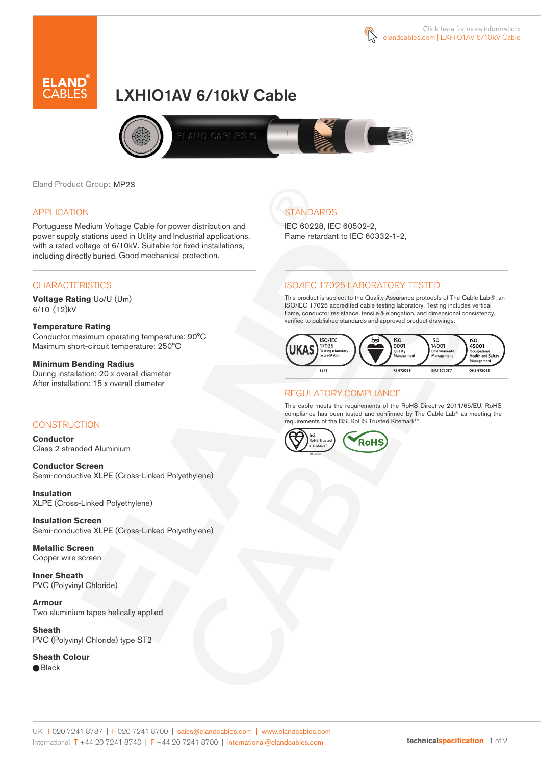



# LXHIO1AV 6/10kV Cable



Eland Product Group: MP23

### APPLICATION

Portuguese Medium Voltage Cable for power distribution and power supply stations used in Utility and Industrial applications, with a rated voltage of 6/10kV. Suitable for fixed installations, including directly buried. Good mechanical protection.

### **CHARACTERISTICS**

**Voltage Rating** Uo/U (Um) 6/10 (12)kV

### **Temperature Rating**

Conductor maximum operating temperature: 90°C Maximum short-circuit temperature: 250°C

### **Minimum Bending Radius**

During installation: 20 x overall diameter After installation: 15 x overall diameter

### **CONSTRUCTION**

**Conductor**  Class 2 stranded Aluminium

**Conductor Screen** Semi-conductive XLPE (Cross-Linked Polyethylene)

**Insulation** XLPE (Cross-Linked Polyethylene)

**Insulation Screen** Semi-conductive XLPE (Cross-Linked Polyethylene)

**Metallic Screen**  Copper wire screen

**Inner Sheath** PVC (Polyvinyl Chloride)

**Armour** Two aluminium tapes helically applied

**Sheath** PVC (Polyvinyl Chloride) type ST2

**Sheath Colour**  ● Black

# **STANDARDS**

IEC 60228, IEC 60502-2, Flame retardant to IEC 60332-1-2,

### ISO/IEC 17025 LABORATORY TESTED

This product is subject to the Quality Assurance protocols of The Cable Lab®, an ISO/IEC 17025 accredited cable testing laboratory. Testing includes vertical flame, conductor resistance, tensile & elongation, and dimensional consistency, verified to published standards and approved product drawings.



### REGULATORY COMPLIANCE

This cable meets the requirements of the RoHS Directive 2011/65/EU. RoHS compliance has been tested and confirmed by The Cable Lab® as meeting the requirements of the BSI RoHS Trusted Kitemark™.



#### UK T 020 7241 8787 | F 020 7241 8700 | sales@elandcables.com | www.elandcables.com International T +44 20 7241 8740 | F +44 20 7241 8700 | international@elandcables.com